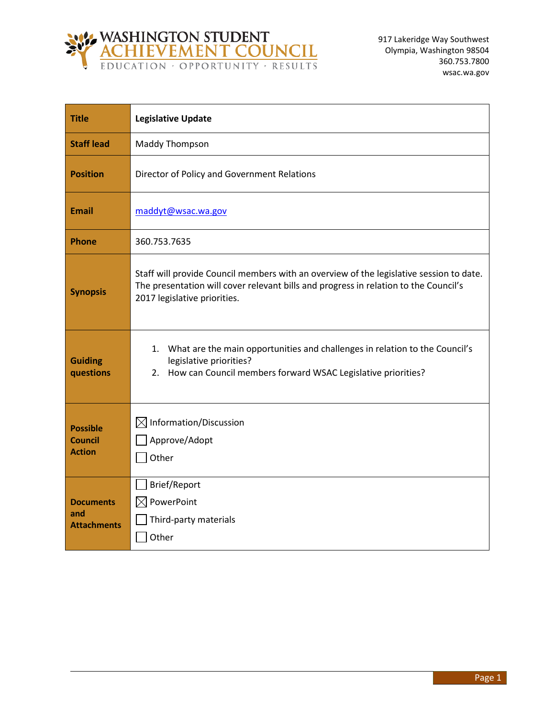

| <b>Title</b>                                       | <b>Legislative Update</b>                                                                                                                                                                                       |
|----------------------------------------------------|-----------------------------------------------------------------------------------------------------------------------------------------------------------------------------------------------------------------|
| <b>Staff lead</b>                                  | <b>Maddy Thompson</b>                                                                                                                                                                                           |
| <b>Position</b>                                    | Director of Policy and Government Relations                                                                                                                                                                     |
| <b>Email</b>                                       | maddyt@wsac.wa.gov                                                                                                                                                                                              |
| <b>Phone</b>                                       | 360.753.7635                                                                                                                                                                                                    |
| <b>Synopsis</b>                                    | Staff will provide Council members with an overview of the legislative session to date.<br>The presentation will cover relevant bills and progress in relation to the Council's<br>2017 legislative priorities. |
| <b>Guiding</b><br>questions                        | What are the main opportunities and challenges in relation to the Council's<br>1.<br>legislative priorities?<br>2. How can Council members forward WSAC Legislative priorities?                                 |
| <b>Possible</b><br><b>Council</b><br><b>Action</b> | $\boxtimes$ Information/Discussion<br>Approve/Adopt<br>Other                                                                                                                                                    |
| <b>Documents</b><br>and<br><b>Attachments</b>      | Brief/Report<br>PowerPoint<br>$\boxtimes$<br>Third-party materials<br>Other                                                                                                                                     |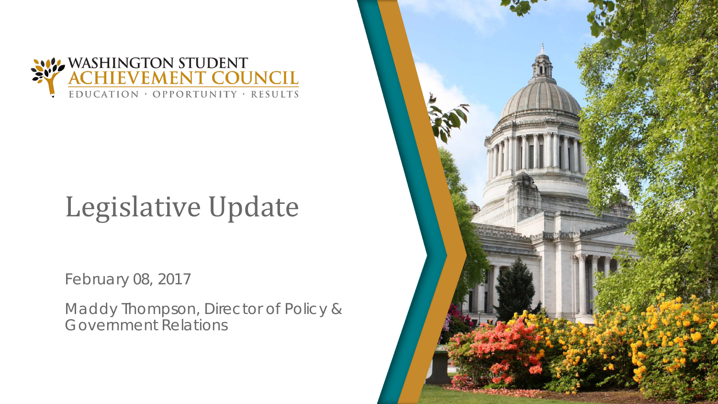

# Legislative Update

February 08, 2017

Maddy Thompson, Director of Policy & Government Relations

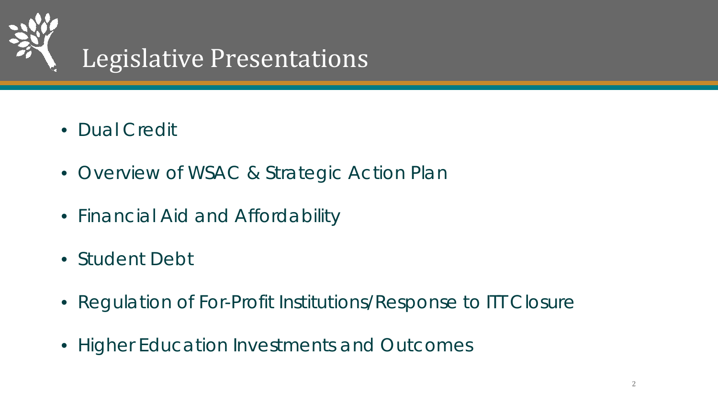

- Dual Credit
- Overview of WSAC & Strategic Action Plan
- Financial Aid and Affordability
- Student Debt
- Regulation of For-Profit Institutions/Response to ITT Closure
- Higher Education Investments and Outcomes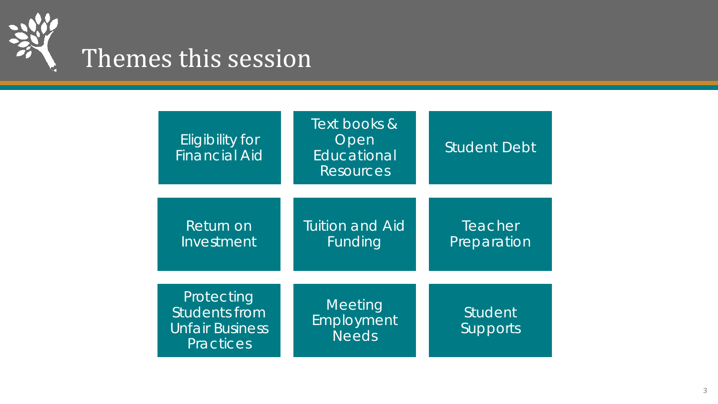

| <b>Eligibility for</b><br><b>Financial Aid</b>                                   | Text books &<br>Open<br>Educational<br><b>Resources</b> | <b>Student Debt</b>        |
|----------------------------------------------------------------------------------|---------------------------------------------------------|----------------------------|
| Return on<br>Investment                                                          | <b>Tuition and Aid</b><br>Funding                       | Teacher<br>Preparation     |
| Protecting<br><b>Students from</b><br><b>Unfair Business</b><br><b>Practices</b> | Meeting<br>Employment<br><b>Needs</b>                   | Student<br><b>Supports</b> |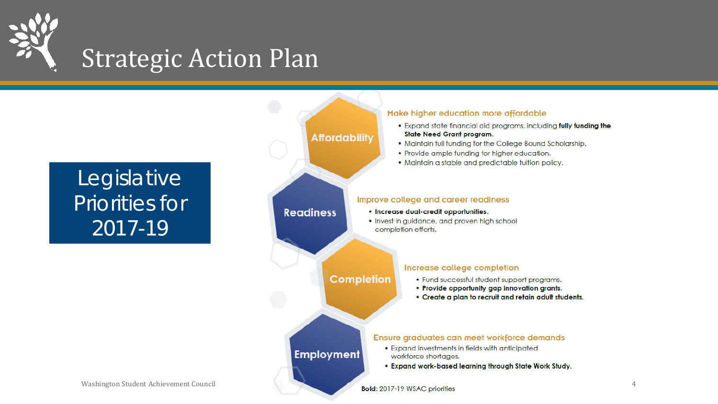

### Strategic Action Plan



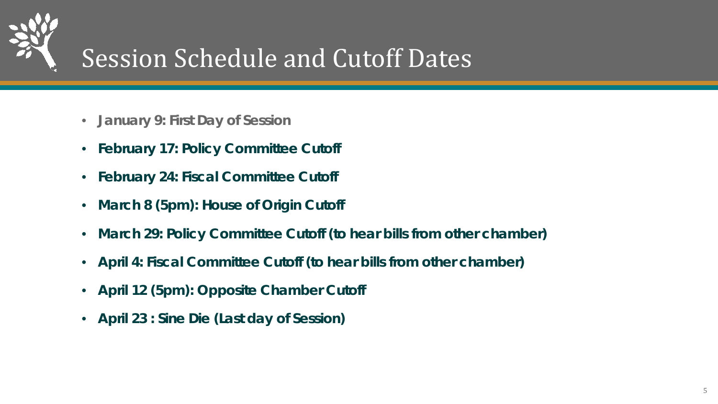

## Session Schedule and Cutoff Dates

- **January 9: First Day of Session**
- **February 17: Policy Committee Cutoff**
- **February 24: Fiscal Committee Cutoff**
- **March 8 (5pm): House of Origin Cutoff**
- **March 29: Policy Committee Cutoff (to hear bills from other chamber)**
- **April 4: Fiscal Committee Cutoff (to hear bills from other chamber)**
- **April 12 (5pm): Opposite Chamber Cutoff**
- **April 23 : Sine Die (Last day of Session)**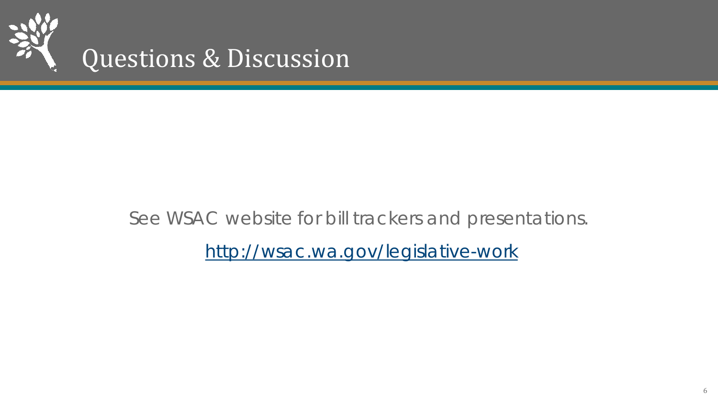

### See WSAC website for bill trackers and presentations.

<http://wsac.wa.gov/legislative-work>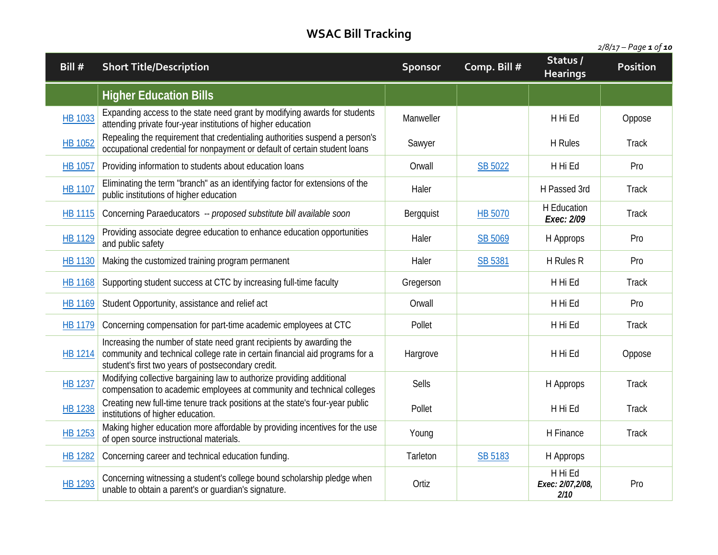| Bill $#$       | <b>Short Title/Description</b>                                                                                                                                                                             | <b>Sponsor</b> | Comp. Bill #   | Status/<br><b>Hearings</b>          | <b>Position</b> |
|----------------|------------------------------------------------------------------------------------------------------------------------------------------------------------------------------------------------------------|----------------|----------------|-------------------------------------|-----------------|
|                | <b>Higher Education Bills</b>                                                                                                                                                                              |                |                |                                     |                 |
| <b>HB 1033</b> | Expanding access to the state need grant by modifying awards for students<br>attending private four-year institutions of higher education                                                                  | Manweller      |                | H Hi Ed                             | Oppose          |
| <b>HB 1052</b> | Repealing the requirement that credentialing authorities suspend a person's<br>occupational credential for nonpayment or default of certain student loans                                                  | Sawyer         |                | H Rules                             | Track           |
| HB 1057        | Providing information to students about education loans                                                                                                                                                    | Orwall         | <b>SB 5022</b> | H Hi Ed                             | Pro             |
| <b>HB 1107</b> | Eliminating the term "branch" as an identifying factor for extensions of the<br>public institutions of higher education                                                                                    | Haler          |                | H Passed 3rd                        | Track           |
| HB 1115        | Concerning Paraeducators -- proposed substitute bill available soon                                                                                                                                        | Bergquist      | <b>HB 5070</b> | H Education<br>Exec: 2/09           | Track           |
| HB 1129        | Providing associate degree education to enhance education opportunities<br>and public safety                                                                                                               | Haler          | SB 5069        | H Approps                           | Pro             |
| HB 1130        | Making the customized training program permanent                                                                                                                                                           | Haler          | SB 5381        | H Rules R                           | Pro             |
| <b>HB 1168</b> | Supporting student success at CTC by increasing full-time faculty                                                                                                                                          | Gregerson      |                | H Hi Ed                             | Track           |
| HB 1169        | Student Opportunity, assistance and relief act                                                                                                                                                             | Orwall         |                | H Hi Ed                             | Pro             |
| HB 1179        | Concerning compensation for part-time academic employees at CTC                                                                                                                                            | Pollet         |                | H Hi Ed                             | Track           |
| HB 1214        | Increasing the number of state need grant recipients by awarding the<br>community and technical college rate in certain financial aid programs for a<br>student's first two years of postsecondary credit. | Hargrove       |                | H Hi Ed                             | Oppose          |
| <b>HB 1237</b> | Modifying collective bargaining law to authorize providing additional<br>compensation to academic employees at community and technical colleges                                                            | Sells          |                | H Approps                           | Track           |
| HB 1238        | Creating new full-time tenure track positions at the state's four-year public<br>institutions of higher education.                                                                                         | Pollet         |                | H Hi Ed                             | Track           |
| HB 1253        | Making higher education more affordable by providing incentives for the use<br>of open source instructional materials.                                                                                     | Young          |                | H Finance                           | <b>Track</b>    |
| HB 1282        | Concerning career and technical education funding.                                                                                                                                                         | Tarleton       | SB 5183        | H Approps                           |                 |
| <b>HB 1293</b> | Concerning witnessing a student's college bound scholarship pledge when<br>unable to obtain a parent's or guardian's signature.                                                                            | Ortiz          |                | H Hi Ed<br>Exec: 2/07,2/08,<br>2/10 | Pro             |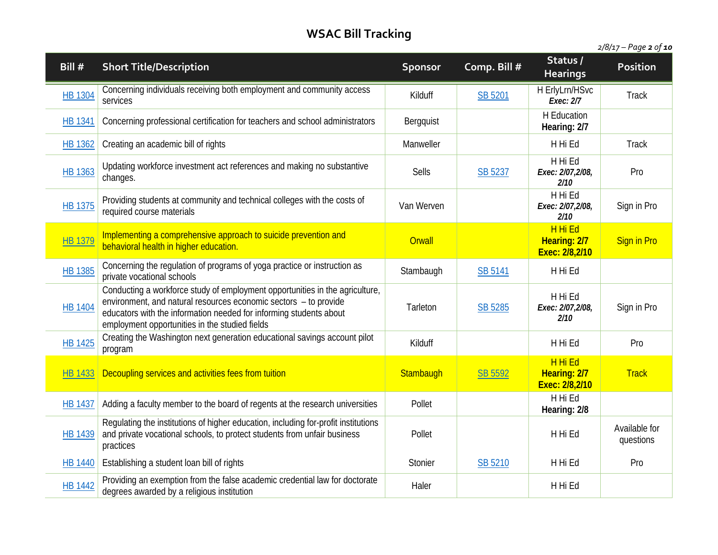| Bill #         | <b>Short Title/Description</b>                                                                                                                                                                                                                                           | <b>Sponsor</b> | Comp. Bill #   | Status /<br><b>Hearings</b>               | Position                   |
|----------------|--------------------------------------------------------------------------------------------------------------------------------------------------------------------------------------------------------------------------------------------------------------------------|----------------|----------------|-------------------------------------------|----------------------------|
| <b>HB 1304</b> | Concerning individuals receiving both employment and community access<br>services                                                                                                                                                                                        | Kilduff        | SB 5201        | H ErlyLrn/HSvc<br>Exec: 2/7               | <b>Track</b>               |
| <b>HB 1341</b> | Concerning professional certification for teachers and school administrators                                                                                                                                                                                             | Bergquist      |                | H Education<br>Hearing: 2/7               |                            |
| HB 1362        | Creating an academic bill of rights                                                                                                                                                                                                                                      | Manweller      |                | H Hi Ed                                   | <b>Track</b>               |
| HB 1363        | Updating workforce investment act references and making no substantive<br>changes.                                                                                                                                                                                       | Sells          | SB 5237        | H Hi Ed<br>Exec: 2/07,2/08,<br>2/10       | Pro                        |
| <b>HB 1375</b> | Providing students at community and technical colleges with the costs of<br>required course materials                                                                                                                                                                    | Van Werven     |                | H Hi Ed<br>Exec: 2/07,2/08,<br>2/10       | Sign in Pro                |
| <b>HB 1379</b> | Implementing a comprehensive approach to suicide prevention and<br>behavioral health in higher education.                                                                                                                                                                | Orwall         |                | H Hi Ed<br>Hearing: 2/7<br>Exec: 2/8,2/10 | <b>Sign in Pro</b>         |
| <b>HB 1385</b> | Concerning the regulation of programs of yoga practice or instruction as<br>private vocational schools                                                                                                                                                                   | Stambaugh      | SB 5141        | H Hi Ed                                   |                            |
| <b>HB 1404</b> | Conducting a workforce study of employment opportunities in the agriculture,<br>environment, and natural resources economic sectors - to provide<br>educators with the information needed for informing students about<br>employment opportunities in the studied fields | Tarleton       | <b>SB 5285</b> | H Hi Ed<br>Exec: 2/07,2/08,<br>2/10       | Sign in Pro                |
| <b>HB 1425</b> | Creating the Washington next generation educational savings account pilot<br>program                                                                                                                                                                                     | Kilduff        |                | H Hi Ed                                   | Pro                        |
| <b>HB 1433</b> | Decoupling services and activities fees from tuition                                                                                                                                                                                                                     | Stambaugh      | SB 5592        | H Hi Ed<br>Hearing: 2/7<br>Exec: 2/8,2/10 | <b>Track</b>               |
| <b>HB 1437</b> | Adding a faculty member to the board of regents at the research universities                                                                                                                                                                                             | Pollet         |                | H Hi Ed<br>Hearing: 2/8                   |                            |
| <b>HB 1439</b> | Regulating the institutions of higher education, including for-profit institutions<br>and private vocational schools, to protect students from unfair business<br>practices                                                                                              | Pollet         |                | H Hi Ed                                   | Available for<br>questions |
| <b>HB 1440</b> | Establishing a student loan bill of rights                                                                                                                                                                                                                               | Stonier        | SB 5210        | H Hi Ed                                   | Pro                        |
| <b>HB 1442</b> | Providing an exemption from the false academic credential law for doctorate<br>degrees awarded by a religious institution                                                                                                                                                | Haler          |                | H Hi Ed                                   |                            |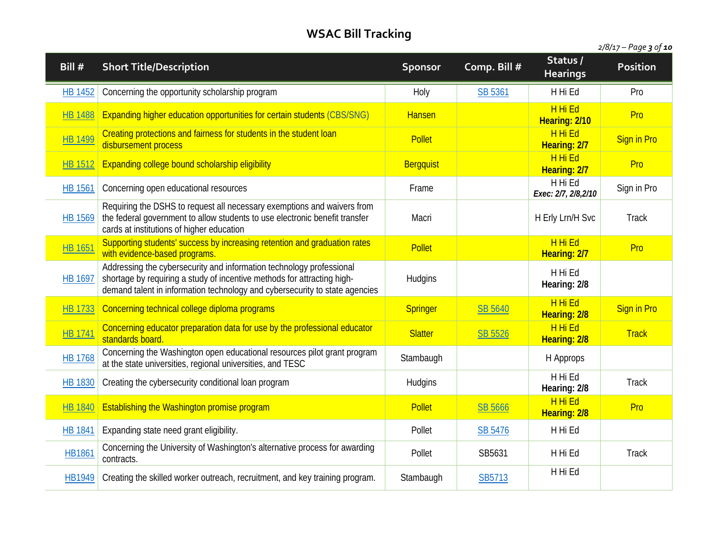| Bill #         | <b>Short Title/Description</b>                                                                                                                                                                                                 | Sponsor          | Comp. Bill # | Status /<br><b>Hearings</b>     | Position           |
|----------------|--------------------------------------------------------------------------------------------------------------------------------------------------------------------------------------------------------------------------------|------------------|--------------|---------------------------------|--------------------|
| <b>HB 1452</b> | Concerning the opportunity scholarship program                                                                                                                                                                                 | Holy             | SB 5361      | H Hi Ed                         | Pro                |
| <b>HB 1488</b> | Expanding higher education opportunities for certain students (CBS/SNG)                                                                                                                                                        | <b>Hansen</b>    |              | H Hi Ed<br>Hearing: 2/10        | Pro                |
| <b>HB 1499</b> | Creating protections and fairness for students in the student loan<br>disbursement process                                                                                                                                     | <b>Pollet</b>    |              | H Hi Ed<br>Hearing: 2/7         | <b>Sign in Pro</b> |
| <b>HB 1512</b> | Expanding college bound scholarship eligibility                                                                                                                                                                                | <b>Bergquist</b> |              | H Hi Ed<br>Hearing: 2/7         | Pro                |
| <b>HB 1561</b> | Concerning open educational resources                                                                                                                                                                                          | Frame            |              | H Hi Ed<br>Exec: 2/7, 2/8, 2/10 | Sign in Pro        |
| HB 1569        | Requiring the DSHS to request all necessary exemptions and waivers from<br>the federal government to allow students to use electronic benefit transfer<br>cards at institutions of higher education                            | Macri            |              | H Erly Lrn/H Svc                | <b>Track</b>       |
| <b>HB 1651</b> | Supporting students' success by increasing retention and graduation rates<br>with evidence-based programs.                                                                                                                     | <b>Pollet</b>    |              | H Hi Ed<br>Hearing: 2/7         | Pro                |
| <b>HB 1697</b> | Addressing the cybersecurity and information technology professional<br>shortage by requiring a study of incentive methods for attracting high-<br>demand talent in information technology and cybersecurity to state agencies | Hudgins          |              | H Hi Ed<br>Hearing: 2/8         |                    |
| <b>HB 1733</b> | Concerning technical college diploma programs                                                                                                                                                                                  | <b>Springer</b>  | SB 5640      | H Hi Ed<br>Hearing: 2/8         | <b>Sign in Pro</b> |
| <b>HB 1741</b> | Concerning educator preparation data for use by the professional educator<br>standards board.                                                                                                                                  | <b>Slatter</b>   | SB 5526      | H Hi Ed<br>Hearing: 2/8         | <b>Track</b>       |
| <b>HB 1768</b> | Concerning the Washington open educational resources pilot grant program<br>at the state universities, regional universities, and TESC                                                                                         | Stambaugh        |              | H Approps                       |                    |
| <b>HB 1830</b> | Creating the cybersecurity conditional loan program                                                                                                                                                                            | Hudgins          |              | H Hi Ed<br>Hearing: 2/8         | <b>Track</b>       |
| <b>HB 1840</b> | Establishing the Washington promise program                                                                                                                                                                                    | <b>Pollet</b>    | SB 5666      | H Hi Ed<br>Hearing: 2/8         | Pro                |
| <b>HB 1841</b> | Expanding state need grant eligibility.                                                                                                                                                                                        | Pollet           | SB 5476      | H Hi Ed                         |                    |
| <b>HB1861</b>  | Concerning the University of Washington's alternative process for awarding<br>contracts.                                                                                                                                       | Pollet           | SB5631       | H Hi Ed                         | <b>Track</b>       |
| HB1949         | Creating the skilled worker outreach, recruitment, and key training program.                                                                                                                                                   | Stambaugh        | SB5713       | H Hi Ed                         |                    |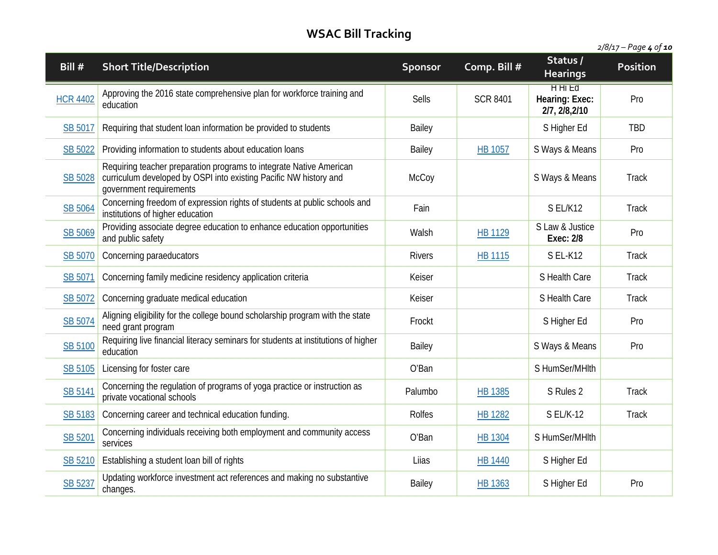| 2/8/17 – Page 4 of 10 |  |
|-----------------------|--|
|                       |  |

| Bill #          | <b>Short Title/Description</b>                                                                                                                                      | Sponsor       | Comp. Bill #    | Status/<br><b>Hearings</b>                       | <b>Position</b> |
|-----------------|---------------------------------------------------------------------------------------------------------------------------------------------------------------------|---------------|-----------------|--------------------------------------------------|-----------------|
| <b>HCR 4402</b> | Approving the 2016 state comprehensive plan for workforce training and<br>education                                                                                 | <b>Sells</b>  | <b>SCR 8401</b> | <b>HHILD</b><br>Hearing: Exec:<br>2/7, 2/8, 2/10 | Pro             |
| SB 5017         | Requiring that student loan information be provided to students                                                                                                     | Bailey        |                 | S Higher Ed                                      | <b>TBD</b>      |
| SB 5022         | Providing information to students about education loans                                                                                                             | Bailey        | <b>HB 1057</b>  | S Ways & Means                                   | Pro             |
| <b>SB 5028</b>  | Requiring teacher preparation programs to integrate Native American<br>curriculum developed by OSPI into existing Pacific NW history and<br>government requirements | McCoy         |                 | S Ways & Means                                   | <b>Track</b>    |
| SB 5064         | Concerning freedom of expression rights of students at public schools and<br>institutions of higher education                                                       | Fain          |                 | S EL/K12                                         | <b>Track</b>    |
| SB 5069         | Providing associate degree education to enhance education opportunities<br>and public safety                                                                        | Walsh         | <b>HB 1129</b>  | S Law & Justice<br>Exec: 2/8                     | Pro             |
| SB 5070         | Concerning paraeducators                                                                                                                                            | <b>Rivers</b> | HB 1115         | S EL-K12                                         | <b>Track</b>    |
| SB 5071         | Concerning family medicine residency application criteria                                                                                                           | Keiser        |                 | S Health Care                                    | <b>Track</b>    |
| SB 5072         | Concerning graduate medical education                                                                                                                               | Keiser        |                 | S Health Care                                    | <b>Track</b>    |
| SB 5074         | Aligning eligibility for the college bound scholarship program with the state<br>need grant program                                                                 | Frockt        |                 | S Higher Ed                                      | Pro             |
| SB 5100         | Requiring live financial literacy seminars for students at institutions of higher<br>education                                                                      | Bailey        |                 | S Ways & Means                                   | Pro             |
| SB 5105         | Licensing for foster care                                                                                                                                           | O'Ban         |                 | S HumSer/MHlth                                   |                 |
| SB 5141         | Concerning the regulation of programs of yoga practice or instruction as<br>private vocational schools                                                              | Palumbo       | <b>HB 1385</b>  | S Rules 2                                        | <b>Track</b>    |
| SB 5183         | Concerning career and technical education funding.                                                                                                                  | <b>Rolfes</b> | <b>HB 1282</b>  | <b>S EL/K-12</b>                                 | <b>Track</b>    |
| SB 5201         | Concerning individuals receiving both employment and community access<br>services                                                                                   | O'Ban         | HB 1304         | S HumSer/MHlth                                   |                 |
| SB 5210         | Establishing a student loan bill of rights                                                                                                                          | Liias         | <b>HB 1440</b>  | S Higher Ed                                      |                 |
| SB 5237         | Updating workforce investment act references and making no substantive<br>changes.                                                                                  | Bailey        | <b>HB 1363</b>  | S Higher Ed                                      | Pro             |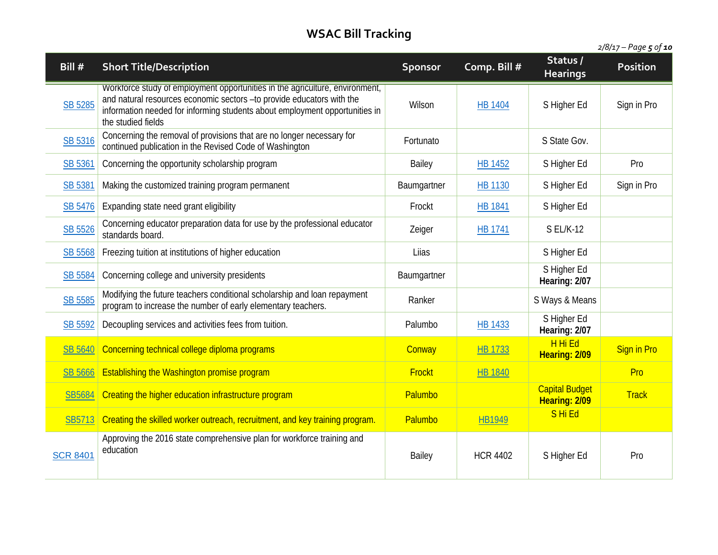| Bill #          | <b>Short Title/Description</b>                                                                                                                                                                                                                             | Sponsor     | Comp. Bill #    | Status /<br><b>Hearings</b>            | <b>Position</b>    |
|-----------------|------------------------------------------------------------------------------------------------------------------------------------------------------------------------------------------------------------------------------------------------------------|-------------|-----------------|----------------------------------------|--------------------|
| SB 5285         | Workforce study of employment opportunities in the agriculture, environment,<br>and natural resources economic sectors -to provide educators with the<br>information needed for informing students about employment opportunities in<br>the studied fields | Wilson      | <b>HB 1404</b>  | S Higher Ed                            | Sign in Pro        |
| SB 5316         | Concerning the removal of provisions that are no longer necessary for<br>continued publication in the Revised Code of Washington                                                                                                                           | Fortunato   |                 | S State Gov.                           |                    |
| SB 5361         | Concerning the opportunity scholarship program                                                                                                                                                                                                             | Bailey      | HB 1452         | S Higher Ed                            | Pro                |
| <b>SB 5381</b>  | Making the customized training program permanent                                                                                                                                                                                                           | Baumgartner | <b>HB 1130</b>  | S Higher Ed                            | Sign in Pro        |
| SB 5476         | Expanding state need grant eligibility                                                                                                                                                                                                                     | Frockt      | <b>HB 1841</b>  | S Higher Ed                            |                    |
| SB 5526         | Concerning educator preparation data for use by the professional educator<br>standards board.                                                                                                                                                              | Zeiger      | <b>HB 1741</b>  | <b>S EL/K-12</b>                       |                    |
| SB 5568         | Freezing tuition at institutions of higher education                                                                                                                                                                                                       | Liias       |                 | S Higher Ed                            |                    |
| SB 5584         | Concerning college and university presidents                                                                                                                                                                                                               | Baumgartner |                 | S Higher Ed<br>Hearing: 2/07           |                    |
| <b>SB 5585</b>  | Modifying the future teachers conditional scholarship and loan repayment<br>program to increase the number of early elementary teachers.                                                                                                                   | Ranker      |                 | S Ways & Means                         |                    |
| SB 5592         | Decoupling services and activities fees from tuition.                                                                                                                                                                                                      | Palumbo     | <b>HB 1433</b>  | S Higher Ed<br>Hearing: 2/07           |                    |
| <b>SB 5640</b>  | Concerning technical college diploma programs                                                                                                                                                                                                              | Conway      | <b>HB 1733</b>  | H Hi Ed<br>Hearing: 2/09               | <b>Sign in Pro</b> |
| <b>SB 5666</b>  | <b>Establishing the Washington promise program</b>                                                                                                                                                                                                         | Frockt      | <b>HB 1840</b>  |                                        | Pro                |
| SB5684          | Creating the higher education infrastructure program                                                                                                                                                                                                       | Palumbo     |                 | <b>Capital Budget</b><br>Hearing: 2/09 | <b>Track</b>       |
| SB5713          | Creating the skilled worker outreach, recruitment, and key training program.                                                                                                                                                                               | Palumbo     | <b>HB1949</b>   | SHi Ed                                 |                    |
| <b>SCR 8401</b> | Approving the 2016 state comprehensive plan for workforce training and<br>education                                                                                                                                                                        | Bailey      | <b>HCR 4402</b> | S Higher Ed                            | Pro                |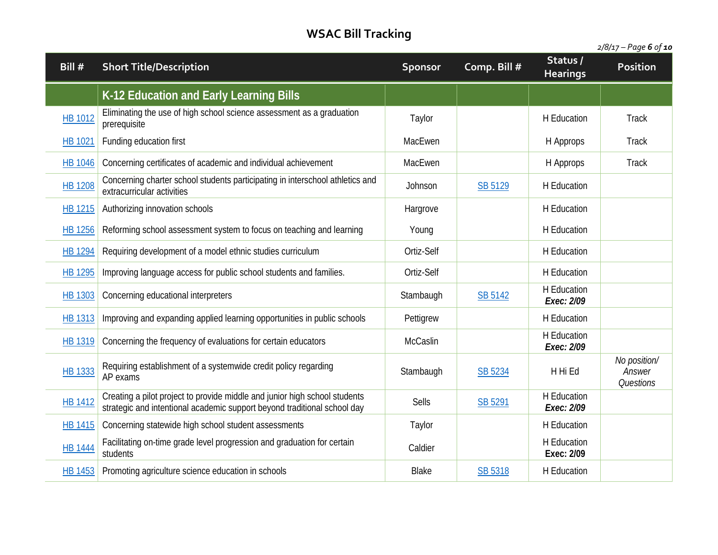| Bill #         | <b>Short Title/Description</b>                                                                                                                         | Sponsor      | Comp. Bill #   | Status /<br><b>Hearings</b> | <b>Position</b>                     |
|----------------|--------------------------------------------------------------------------------------------------------------------------------------------------------|--------------|----------------|-----------------------------|-------------------------------------|
|                | K-12 Education and Early Learning Bills                                                                                                                |              |                |                             |                                     |
| HB 1012        | Eliminating the use of high school science assessment as a graduation<br>prerequisite                                                                  | Taylor       |                | H Education                 | <b>Track</b>                        |
| HB 1021        | Funding education first                                                                                                                                | MacEwen      |                | H Approps                   | <b>Track</b>                        |
| <b>HB 1046</b> | Concerning certificates of academic and individual achievement                                                                                         | MacEwen      |                | H Approps                   | Track                               |
| <b>HB 1208</b> | Concerning charter school students participating in interschool athletics and<br>extracurricular activities                                            | Johnson      | <b>SB 5129</b> | H Education                 |                                     |
| <b>HB 1215</b> | Authorizing innovation schools                                                                                                                         | Hargrove     |                | H Education                 |                                     |
| <b>HB 1256</b> | Reforming school assessment system to focus on teaching and learning                                                                                   | Young        |                | H Education                 |                                     |
| <b>HB 1294</b> | Requiring development of a model ethnic studies curriculum                                                                                             | Ortiz-Self   |                | <b>H</b> Education          |                                     |
| HB 1295        | Improving language access for public school students and families.                                                                                     | Ortiz-Self   |                | H Education                 |                                     |
| HB 1303        | Concerning educational interpreters                                                                                                                    | Stambaugh    | <b>SB 5142</b> | H Education<br>Exec: 2/09   |                                     |
| <b>HB 1313</b> | Improving and expanding applied learning opportunities in public schools                                                                               | Pettigrew    |                | H Education                 |                                     |
| <b>HB 1319</b> | Concerning the frequency of evaluations for certain educators                                                                                          | McCaslin     |                | H Education<br>Exec: 2/09   |                                     |
| HB 1333        | Requiring establishment of a systemwide credit policy regarding<br>AP exams                                                                            | Stambaugh    | SB 5234        | H Hi Ed                     | No position/<br>Answer<br>Questions |
| <b>HB 1412</b> | Creating a pilot project to provide middle and junior high school students<br>strategic and intentional academic support beyond traditional school day | <b>Sells</b> | SB 5291        | H Education<br>Exec: 2/09   |                                     |
| <b>HB 1415</b> | Concerning statewide high school student assessments                                                                                                   | Taylor       |                | H Education                 |                                     |
| <b>HB 1444</b> | Facilitating on-time grade level progression and graduation for certain<br>students                                                                    | Caldier      |                | H Education<br>Exec: 2/09   |                                     |
| <b>HB 1453</b> | Promoting agriculture science education in schools                                                                                                     | <b>Blake</b> | SB 5318        | <b>H</b> Education          |                                     |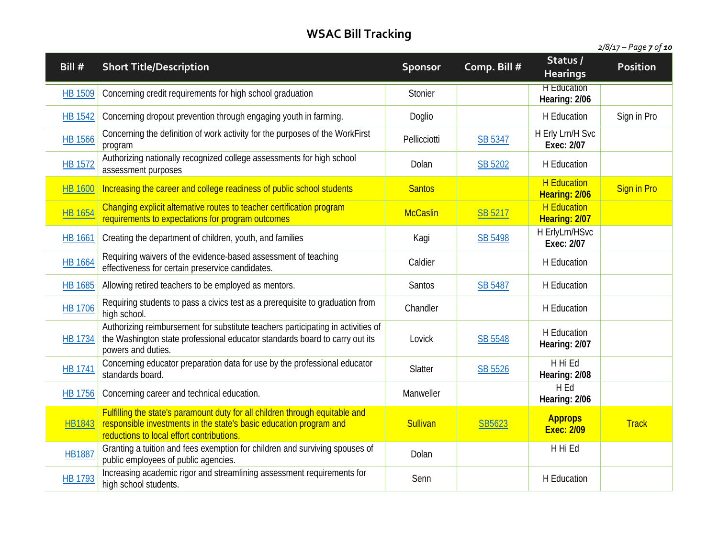| 2/8/17 – Page <b>7</b> of <b>10</b> |  |  |
|-------------------------------------|--|--|
|-------------------------------------|--|--|

| Bill #         | <b>Short Title/Description</b>                                                                                                                                                                  | Sponsor         | Comp. Bill #   | Status /<br><b>Hearings</b>         | Position           |
|----------------|-------------------------------------------------------------------------------------------------------------------------------------------------------------------------------------------------|-----------------|----------------|-------------------------------------|--------------------|
| HB 1509        | Concerning credit requirements for high school graduation                                                                                                                                       | Stonier         |                | <b>H</b> Education<br>Hearing: 2/06 |                    |
| <b>HB 1542</b> | Concerning dropout prevention through engaging youth in farming.                                                                                                                                | Doglio          |                | H Education                         | Sign in Pro        |
| <b>HB 1566</b> | Concerning the definition of work activity for the purposes of the WorkFirst<br>program                                                                                                         | Pellicciotti    | SB 5347        | H Erly Lrn/H Svc<br>Exec: 2/07      |                    |
| HB 1572        | Authorizing nationally recognized college assessments for high school<br>assessment purposes                                                                                                    | Dolan           | SB 5202        | H Education                         |                    |
| <b>HB 1600</b> | Increasing the career and college readiness of public school students                                                                                                                           | <b>Santos</b>   |                | <b>H</b> Education<br>Hearing: 2/06 | <b>Sign in Pro</b> |
| <b>HB 1654</b> | Changing explicit alternative routes to teacher certification program<br>requirements to expectations for program outcomes                                                                      | <b>McCaslin</b> | SB 5217        | <b>H</b> Education<br>Hearing: 2/07 |                    |
| <b>HB 1661</b> | Creating the department of children, youth, and families                                                                                                                                        | Kagi            | SB 5498        | H ErlyLrn/HSvc<br>Exec: 2/07        |                    |
| HB 1664        | Requiring waivers of the evidence-based assessment of teaching<br>effectiveness for certain preservice candidates.                                                                              | Caldier         |                | H Education                         |                    |
| HB 1685        | Allowing retired teachers to be employed as mentors.                                                                                                                                            | Santos          | <b>SB 5487</b> | H Education                         |                    |
| <b>HB 1706</b> | Requiring students to pass a civics test as a prerequisite to graduation from<br>high school.                                                                                                   | Chandler        |                | H Education                         |                    |
| HB 1734        | Authorizing reimbursement for substitute teachers participating in activities of<br>the Washington state professional educator standards board to carry out its<br>powers and duties.           | Lovick          | SB 5548        | H Education<br>Hearing: 2/07        |                    |
| HB 1741        | Concerning educator preparation data for use by the professional educator<br>standards board.                                                                                                   | Slatter         | SB 5526        | H Hi Ed<br>Hearing: 2/08            |                    |
| HB 1756        | Concerning career and technical education.                                                                                                                                                      | Manweller       |                | H Ed<br>Hearing: 2/06               |                    |
| HB1843         | Fulfilling the state's paramount duty for all children through equitable and<br>responsible investments in the state's basic education program and<br>reductions to local effort contributions. | <b>Sullivan</b> | SB5623         | <b>Approps</b><br><b>Exec: 2/09</b> | <b>Track</b>       |
| <b>HB1887</b>  | Granting a tuition and fees exemption for children and surviving spouses of<br>public employees of public agencies.                                                                             | Dolan           |                | H Hi Ed                             |                    |
| HB 1793        | Increasing academic rigor and streamlining assessment requirements for<br>high school students.                                                                                                 | Senn            |                | H Education                         |                    |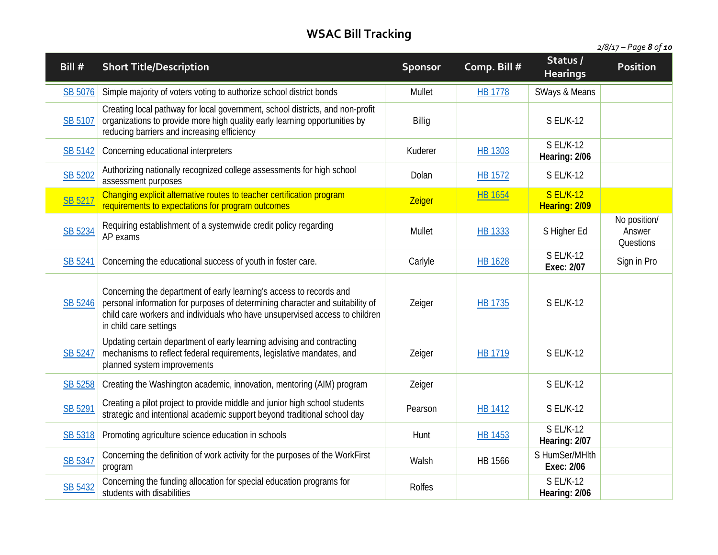*2/8/17 – Page 8 of 10*

| Bill #         | <b>Short Title/Description</b>                                                                                                                                                                                                                                | <b>Sponsor</b> | Comp. Bill #   | Status /<br><b>Hearings</b>       | Position                            |
|----------------|---------------------------------------------------------------------------------------------------------------------------------------------------------------------------------------------------------------------------------------------------------------|----------------|----------------|-----------------------------------|-------------------------------------|
| SB 5076        | Simple majority of voters voting to authorize school district bonds                                                                                                                                                                                           | Mullet         | <b>HB 1778</b> | SWays & Means                     |                                     |
| <b>SB 5107</b> | Creating local pathway for local government, school districts, and non-profit<br>organizations to provide more high quality early learning opportunities by<br>reducing barriers and increasing efficiency                                                    | Billig         |                | S EL/K-12                         |                                     |
| SB 5142        | Concerning educational interpreters                                                                                                                                                                                                                           | Kuderer        | HB 1303        | <b>S EL/K-12</b><br>Hearing: 2/06 |                                     |
| SB 5202        | Authorizing nationally recognized college assessments for high school<br>assessment purposes                                                                                                                                                                  | Dolan          | HB 1572        | <b>SEL/K-12</b>                   |                                     |
| SB 5217        | Changing explicit alternative routes to teacher certification program<br>requirements to expectations for program outcomes                                                                                                                                    | Zeiger         | <b>HB 1654</b> | <b>S EL/K-12</b><br>Hearing: 2/09 |                                     |
| SB 5234        | Requiring establishment of a systemwide credit policy regarding<br>AP exams                                                                                                                                                                                   | <b>Mullet</b>  | <b>HB 1333</b> | S Higher Ed                       | No position/<br>Answer<br>Questions |
| SB 5241        | Concerning the educational success of youth in foster care.                                                                                                                                                                                                   | Carlyle        | <b>HB 1628</b> | <b>SEL/K-12</b><br>Exec: 2/07     | Sign in Pro                         |
| SB 5246        | Concerning the department of early learning's access to records and<br>personal information for purposes of determining character and suitability of<br>child care workers and individuals who have unsupervised access to children<br>in child care settings | Zeiger         | HB 1735        | <b>S EL/K-12</b>                  |                                     |
| SB 5247        | Updating certain department of early learning advising and contracting<br>mechanisms to reflect federal requirements, legislative mandates, and<br>planned system improvements                                                                                | Zeiger         | HB 1719        | <b>SEL/K-12</b>                   |                                     |
| SB 5258        | Creating the Washington academic, innovation, mentoring (AIM) program                                                                                                                                                                                         | Zeiger         |                | <b>S EL/K-12</b>                  |                                     |
| SB 5291        | Creating a pilot project to provide middle and junior high school students<br>strategic and intentional academic support beyond traditional school day                                                                                                        | Pearson        | HB 1412        | <b>SEL/K-12</b>                   |                                     |
| SB 5318        | Promoting agriculture science education in schools                                                                                                                                                                                                            | Hunt           | HB 1453        | <b>S EL/K-12</b><br>Hearing: 2/07 |                                     |
| SB 5347        | Concerning the definition of work activity for the purposes of the WorkFirst<br>program                                                                                                                                                                       | Walsh          | <b>HB 1566</b> | S HumSer/MHlth<br>Exec: 2/06      |                                     |
| SB 5432        | Concerning the funding allocation for special education programs for<br>students with disabilities                                                                                                                                                            | Rolfes         |                | <b>S EL/K-12</b><br>Hearing: 2/06 |                                     |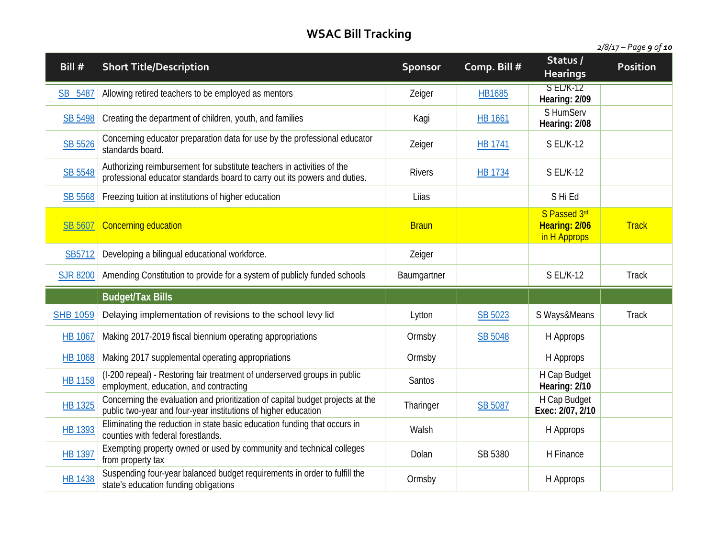| 2/8/17 – Page 9 of <b>10</b> |  |  |
|------------------------------|--|--|
|                              |  |  |

| Bill #          | <b>Short Title/Description</b>                                                                                                                      | <b>Sponsor</b> | Comp. Bill #   | Status /<br><b>Hearings</b>                   | <b>Position</b> |
|-----------------|-----------------------------------------------------------------------------------------------------------------------------------------------------|----------------|----------------|-----------------------------------------------|-----------------|
| SB 5487         | Allowing retired teachers to be employed as mentors                                                                                                 | Zeiger         | HB1685         | $SL/K-12$<br>Hearing: 2/09                    |                 |
| SB 5498         | Creating the department of children, youth, and families                                                                                            | Kagi           | <b>HB 1661</b> | S HumServ<br>Hearing: 2/08                    |                 |
| SB 5526         | Concerning educator preparation data for use by the professional educator<br>standards board.                                                       | Zeiger         | HB 1741        | <b>SEL/K-12</b>                               |                 |
| SB 5548         | Authorizing reimbursement for substitute teachers in activities of the<br>professional educator standards board to carry out its powers and duties. | <b>Rivers</b>  | HB 1734        | S EL/K-12                                     |                 |
| SB 5568         | Freezing tuition at institutions of higher education                                                                                                | Liias          |                | S Hi Ed                                       |                 |
| <b>SB 5607</b>  | Concerning education                                                                                                                                | <b>Braun</b>   |                | S Passed 3rd<br>Hearing: 2/06<br>in H Approps | <b>Track</b>    |
| SB5712          | Developing a bilingual educational workforce.                                                                                                       | Zeiger         |                |                                               |                 |
| <b>SJR 8200</b> | Amending Constitution to provide for a system of publicly funded schools                                                                            | Baumgartner    |                | <b>S EL/K-12</b>                              | <b>Track</b>    |
|                 | <b>Budget/Tax Bills</b>                                                                                                                             |                |                |                                               |                 |
| <b>SHB 1059</b> | Delaying implementation of revisions to the school levy lid                                                                                         | Lytton         | SB 5023        | S Ways&Means                                  | <b>Track</b>    |
| <b>HB 1067</b>  | Making 2017-2019 fiscal biennium operating appropriations                                                                                           | Ormsby         | SB 5048        | H Approps                                     |                 |
| <b>HB 1068</b>  | Making 2017 supplemental operating appropriations                                                                                                   | Ormsby         |                | H Approps                                     |                 |
| <b>HB 1158</b>  | (I-200 repeal) - Restoring fair treatment of underserved groups in public<br>employment, education, and contracting                                 | Santos         |                | H Cap Budget<br>Hearing: 2/10                 |                 |
| <b>HB 1325</b>  | Concerning the evaluation and prioritization of capital budget projects at the<br>public two-year and four-year institutions of higher education    | Tharinger      | SB 5087        | H Cap Budget<br>Exec: 2/07, 2/10              |                 |
| HB 1393         | Eliminating the reduction in state basic education funding that occurs in<br>counties with federal forestlands.                                     | Walsh          |                | H Approps                                     |                 |
| HB 1397         | Exempting property owned or used by community and technical colleges<br>from property tax                                                           | Dolan          | SB 5380        | H Finance                                     |                 |
| <b>HB 1438</b>  | Suspending four-year balanced budget requirements in order to fulfill the<br>state's education funding obligations                                  | Ormsby         |                | H Approps                                     |                 |